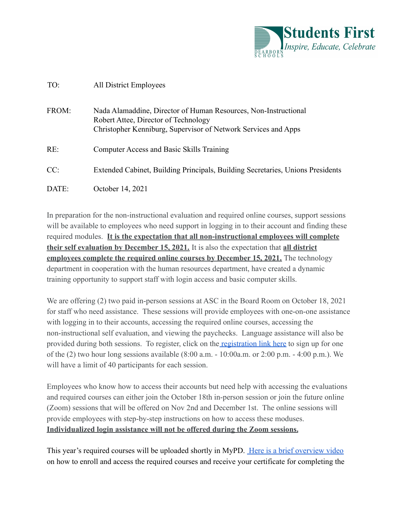

## TO: All District Employees FROM: Nada Alamaddine, Director of Human Resources, Non-Instructional Robert Attee, Director of Technology Christopher Kenniburg, Supervisor of Network Services and Apps RE: Computer Access and Basic Skills Training

- CC: Extended Cabinet, Building Principals, Building Secretaries, Unions Presidents
- DATE: October 14, 2021

In preparation for the non-instructional evaluation and required online courses, support sessions will be available to employees who need support in logging in to their account and finding these required modules. **It is the expectation that all non-instructional employees will complete their self evaluation by December 15, 2021.** It is also the expectation that **all district employees complete the required online courses by December 15, 2021.** The technology department in cooperation with the human resources department, have created a dynamic training opportunity to support staff with login access and basic computer skills.

We are offering (2) two paid in-person sessions at ASC in the Board Room on October 18, 2021 for staff who need assistance. These sessions will provide employees with one-on-one assistance with logging in to their accounts, accessing the required online courses, accessing the non-instructional self evaluation, and viewing the paychecks. Language assistance will also be provided during both sessions. To register, click on the [registration link here](https://forms.gle/W8wYiQXEWjPZHRnP9) to sign up for one of the (2) two hour long sessions available (8:00 a.m. - 10:00a.m. or 2:00 p.m. - 4:00 p.m.). We will have a limit of 40 participants for each session.

Employees who know how to access their accounts but need help with accessing the evaluations and required courses can either join the October 18th in-person session or join the future online (Zoom) sessions that will be offered on Nov 2nd and December 1st. The online sessions will provide employees with step-by-step instructions on how to access these moduses. **Individualized login assistance will not be offered during the Zoom sessions.**

This year's required courses will be uploaded shortly in MyPD. [Here is a brief overview video](https://www.youtube.com/watch?v=HkcW1d7X4nM) on how to enroll and access the required courses and receive your certificate for completing the